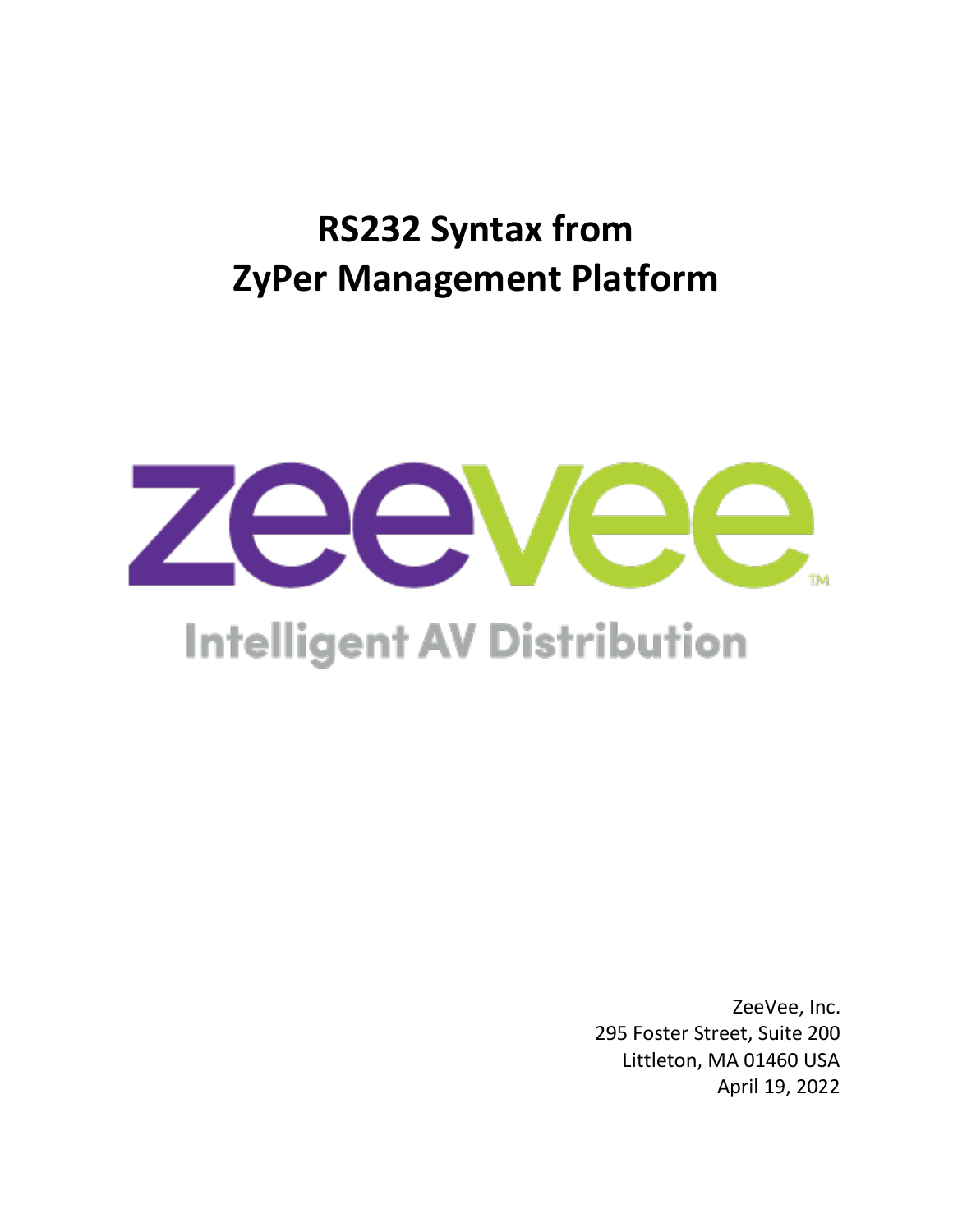# **RS232 Syntax from ZyPer Management Platform**



# **Intelligent AV Distribution**

ZeeVee, Inc. 295 Foster Street, Suite 200 Littleton, MA 01460 USA April 19, 2022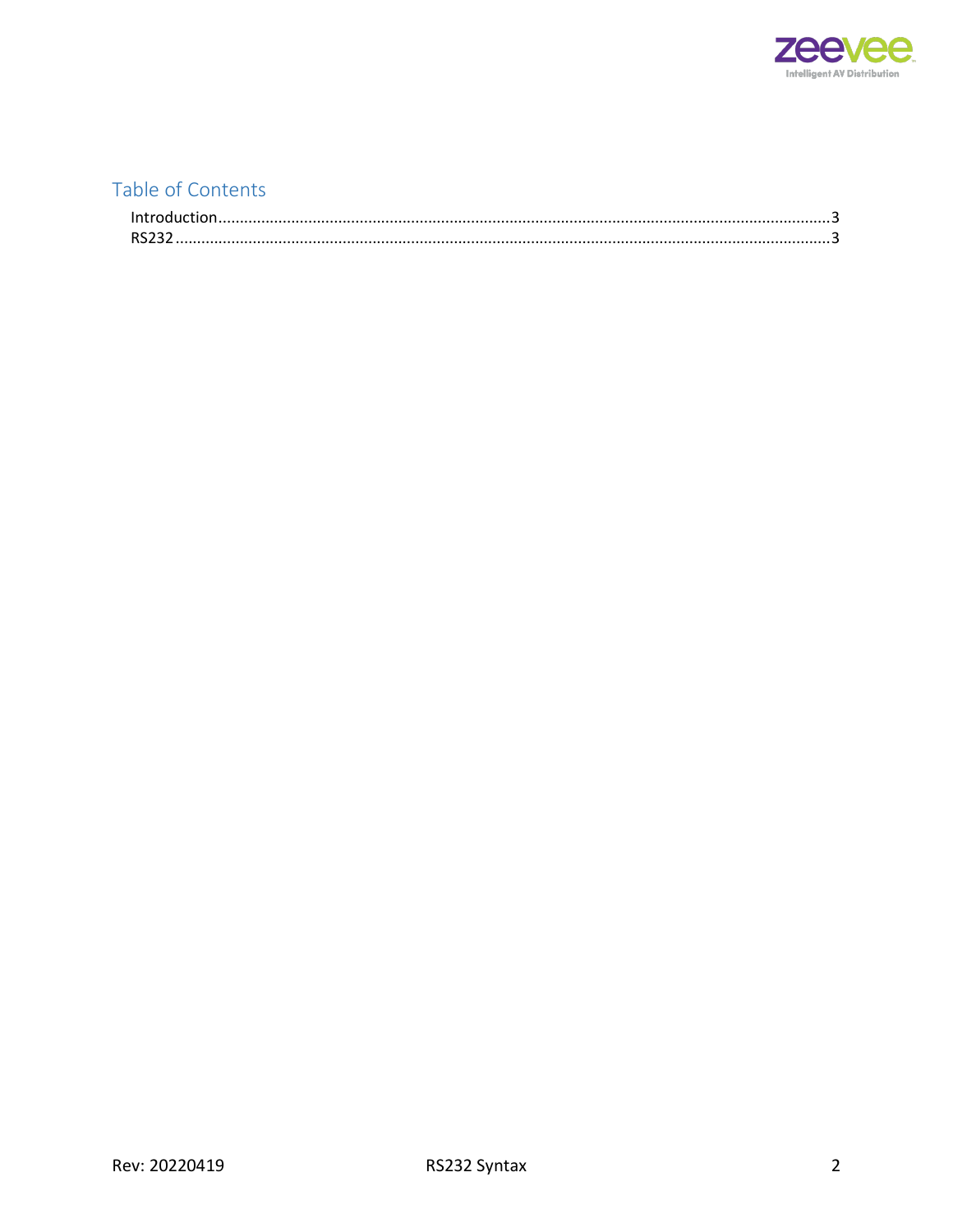

## Table of Contents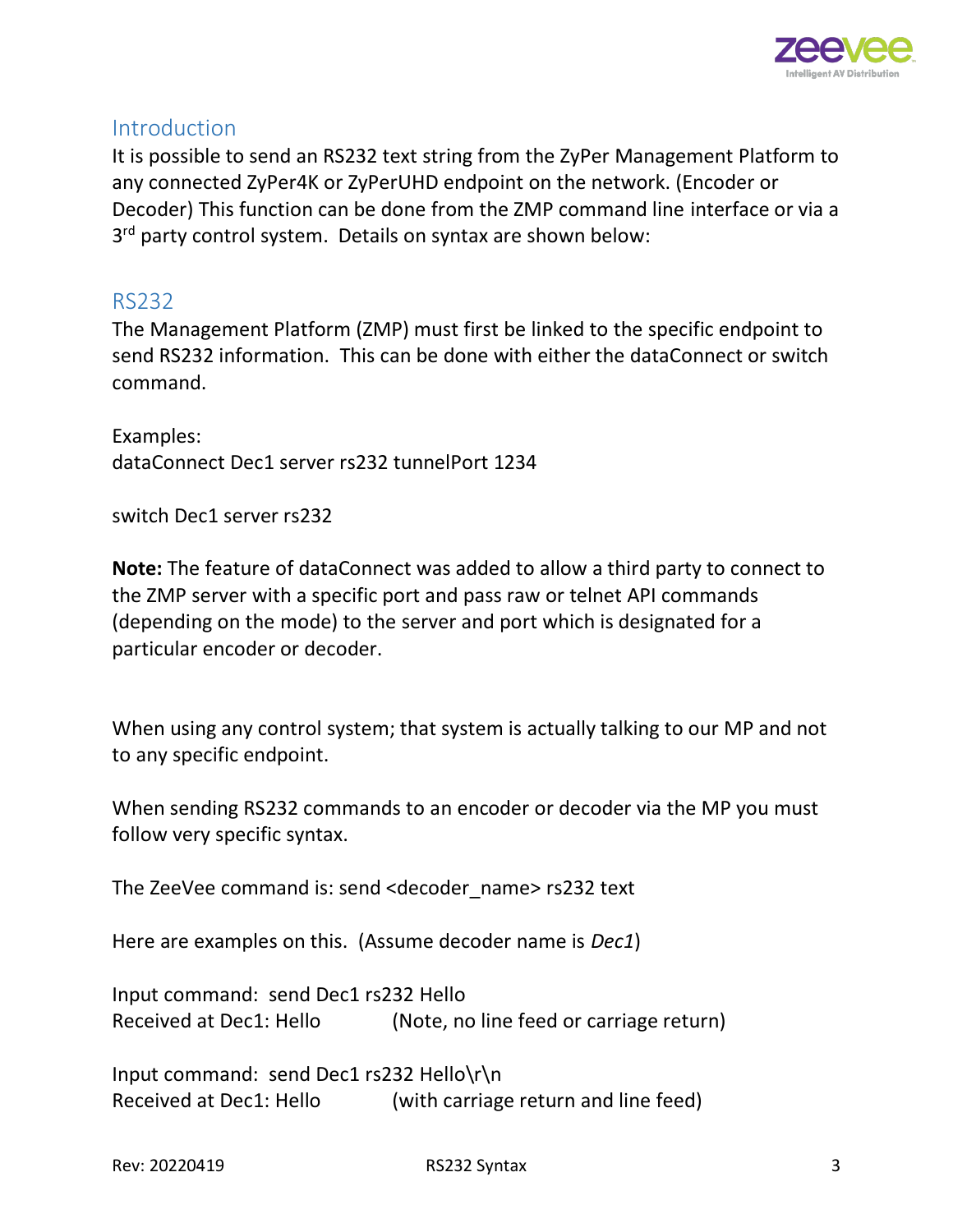

#### <span id="page-2-0"></span>**Introduction**

It is possible to send an RS232 text string from the ZyPer Management Platform to any connected ZyPer4K or ZyPerUHD endpoint on the network. (Encoder or Decoder) This function can be done from the ZMP command line interface or via a 3<sup>rd</sup> party control system. Details on syntax are shown below:

## <span id="page-2-1"></span>RS232

The Management Platform (ZMP) must first be linked to the specific endpoint to send RS232 information. This can be done with either the dataConnect or switch command.

Examples: dataConnect Dec1 server rs232 tunnelPort 1234

switch Dec1 server rs232

**Note:** The feature of dataConnect was added to allow a third party to connect to the ZMP server with a specific port and pass raw or telnet API commands (depending on the mode) to the server and port which is designated for a particular encoder or decoder.

When using any control system; that system is actually talking to our MP and not to any specific endpoint.

When sending RS232 commands to an encoder or decoder via the MP you must follow very specific syntax.

The ZeeVee command is: send <decoder\_name> rs232 text

Here are examples on this. (Assume decoder name is *Dec1*)

Input command: send Dec1 rs232 Hello Received at Dec1: Hello (Note, no line feed or carriage return)

Input command: send Dec1 rs232 Hello\r\n Received at Dec1: Hello (with carriage return and line feed)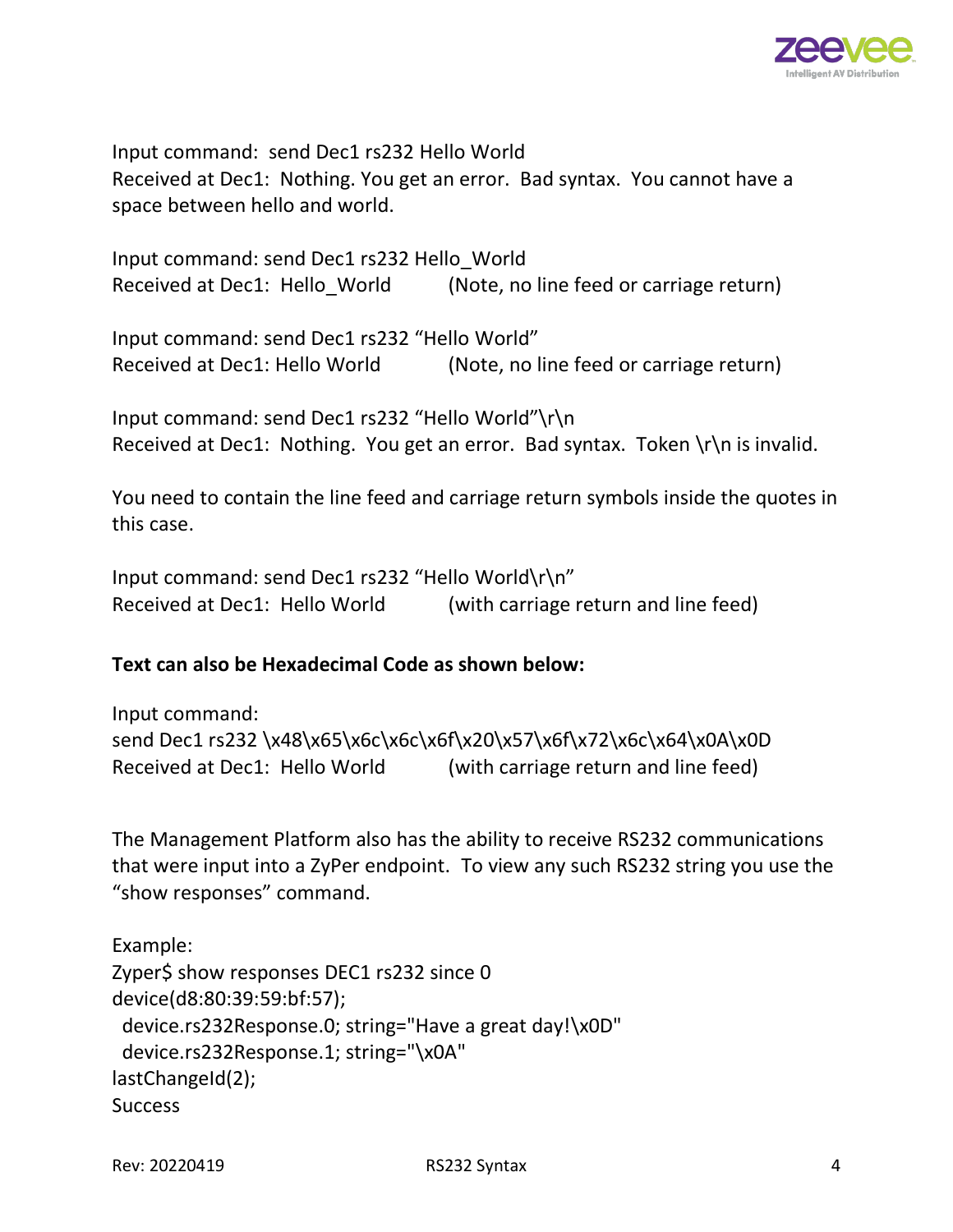

Input command: send Dec1 rs232 Hello World Received at Dec1: Nothing. You get an error. Bad syntax. You cannot have a space between hello and world.

Input command: send Dec1 rs232 Hello\_World Received at Dec1: Hello World (Note, no line feed or carriage return)

Input command: send Dec1 rs232 "Hello World" Received at Dec1: Hello World (Note, no line feed or carriage return)

Input command: send Dec1 rs232 "Hello World"\r\n Received at Dec1: Nothing. You get an error. Bad syntax. Token  $\ln \ln \alpha$  is invalid.

You need to contain the line feed and carriage return symbols inside the quotes in this case.

Input command: send Dec1 rs232 "Hello World\r\n" Received at Dec1: Hello World (with carriage return and line feed)

#### **Text can also be Hexadecimal Code as shown below:**

Input command: send Dec1 rs232 \x48\x65\x6c\x6c\x6f\x20\x57\x6f\x72\x6c\x64\x0A\x0D Received at Dec1: Hello World (with carriage return and line feed)

The Management Platform also has the ability to receive RS232 communications that were input into a ZyPer endpoint. To view any such RS232 string you use the "show responses" command.

```
Example:
Zyper$ show responses DEC1 rs232 since 0
device(d8:80:39:59:bf:57);
  device.rs232Response.0; string="Have a great day!\x0D"
  device.rs232Response.1; string="\x0A"
lastChangeId(2);
Success
```